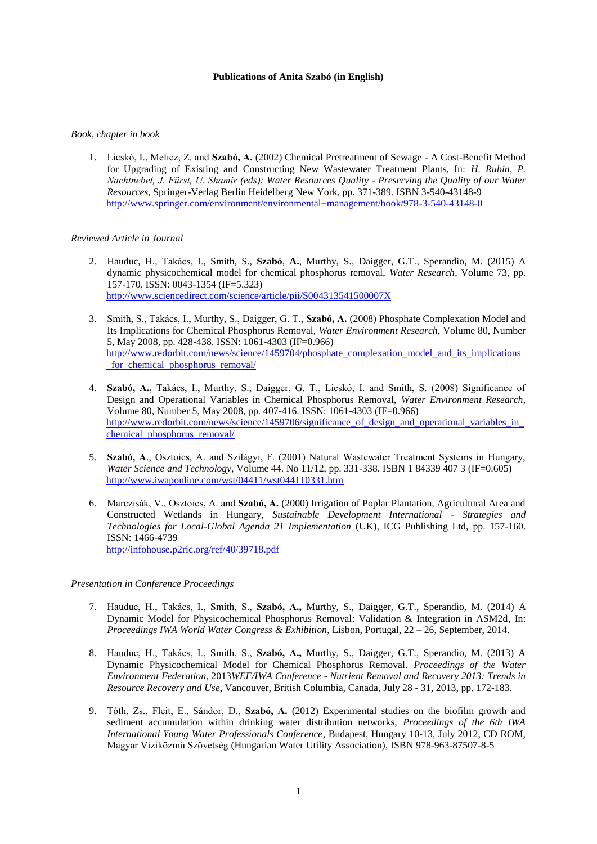## **Publications of Anita Szabó (in English)**

## *Book, chapter in book*

1. Licskó, I., Melicz, Z. and **Szabó, A.** (2002) Chemical Pretreatment of Sewage - A Cost-Benefit Method for Upgrading of Existing and Constructing New Wastewater Treatment Plants, In: *H. Rubin, P. Nachtnebel, J. Fürst, U. Shamir (eds): Water Resources Quality - Preserving the Quality of our Water Resources*, Springer-Verlag Berlin Heidelberg New York, pp. 371-389. ISBN 3-540-43148-9 <http://www.springer.com/environment/environmental+management/book/978-3-540-43148-0>

## *Reviewed Article in Journal*

- 2. Hauduc, H., Takács, I., Smith, S., **Szabó**, **A.**, Murthy, S., Daigger, G.T., Sperandio, M. (2015) A dynamic physicochemical model for chemical phosphorus removal, *Water Research*, Volume 73, pp. 157-170. ISSN: 0043-1354 (IF=5.323) <http://www.sciencedirect.com/science/article/pii/S004313541500007X>
- 3. Smith, S., Takács, I., Murthy, S., Daigger, G. T., **Szabó, A.** (2008) Phosphate Complexation Model and Its Implications for Chemical Phosphorus Removal, *Water Environment Research*, Volume 80, Number 5, May 2008, pp. 428-438. ISSN: 1061-4303 (IF=0.966) [http://www.redorbit.com/news/science/1459704/phosphate\\_complexation\\_model\\_and\\_its\\_implications](http://www.redorbit.com/news/science/1459704/phosphate_complexation_model_and_its_implications_for_chemical_phosphorus_removal/) for chemical phosphorus removal/
- 4. **Szabó, A.,** Takács, I., Murthy, S., Daigger, G. T., Licskó, I. and Smith, S. (2008) Significance of Design and Operational Variables in Chemical Phosphorus Removal, *Water Environment Research*, Volume 80, Number 5, May 2008, pp. 407-416. ISSN: 1061-4303 (IF=0.966) http://www.redorbit.com/news/science/1459706/significance\_of\_design\_and\_operational\_variables\_in chemical phosphorus removal/
- 5. **Szabó, A**., Osztoics, A. and Szilágyi, F. (2001) Natural Wastewater Treatment Systems in Hungary, *Water Science and Technology,* Volume 44. No 11/12, pp. 331-338. ISBN 1 84339 407 3 (IF=0.605) <http://www.iwaponline.com/wst/04411/wst044110331.htm>
- 6. Marczisák, V., Osztoics, A. and **Szabó, A.** (2000) Irrigation of Poplar Plantation, Agricultural Area and Constructed Wetlands in Hungary, *Sustainable Development International - Strategies and Technologies for Local-Global Agenda 21 Implementation* (UK), ICG Publishing Ltd, pp. 157-160. ISSN: 1466-4739 <http://infohouse.p2ric.org/ref/40/39718.pdf>

*Presentation in Conference Proceedings*

- 7. Hauduc, H., Takács, I., Smith, S., **Szabó, A.,** Murthy, S., Daigger, G.T., Sperandio, M. (2014) A Dynamic Model for Physicochemical Phosphorus Removal: Validation & Integration in ASM2d, In: *Proceedings IWA World Water Congress & Exhibition*, Lisbon, Portugal, 22 – 26, September, 2014.
- 8. Hauduc, H., Takács, I., Smith, S., **Szabó, A.,** Murthy, S., Daigger, G.T., Sperandio, M. (2013) A Dynamic Physicochemical Model for Chemical Phosphorus Removal. *Proceedings of the Water Environment Federation*, 2013*WEF/IWA Conference - Nutrient Removal and Recovery 2013: Trends in Resource Recovery and Use*, Vancouver, British Columbia, Canada, July 28 - 31, 2013, pp. 172-183.
- 9. Tóth, Zs., Fleit, E., Sándor, D., **Szabó, A.** (2012) Experimental studies on the biofilm growth and sediment accumulation within drinking water distribution networks, *Proceedings of the 6th IWA International Young Water Professionals Conference*, Budapest, Hungary 10-13, July 2012, CD ROM, Magyar Víziközmű Szövetség (Hungarian Water Utility Association), ISBN 978-963-87507-8-5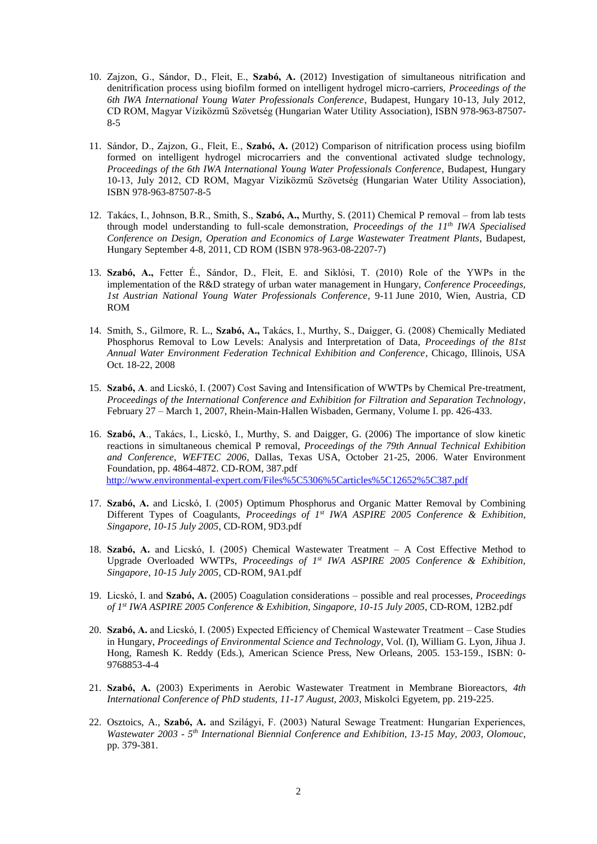- 10. Zajzon, G., Sándor, D., Fleit, E., **Szabó, A.** (2012) Investigation of simultaneous nitrification and denitrification process using biofilm formed on intelligent hydrogel micro-carriers, *Proceedings of the 6th IWA International Young Water Professionals Conference*, Budapest, Hungary 10-13, July 2012, CD ROM, Magyar Víziközmű Szövetség (Hungarian Water Utility Association), ISBN 978-963-87507- 8-5
- 11. Sándor, D., Zajzon, G., Fleit, E., **Szabó, A.** (2012) Comparison of nitrification process using biofilm formed on intelligent hydrogel microcarriers and the conventional activated sludge technology, *Proceedings of the 6th IWA International Young Water Professionals Conference*, Budapest, Hungary 10-13, July 2012, CD ROM, Magyar Víziközmű Szövetség (Hungarian Water Utility Association), ISBN 978-963-87507-8-5
- 12. Takács, I., Johnson, B.R., Smith, S., **Szabó, A.,** Murthy, S. (2011) Chemical P removal from lab tests through model understanding to full-scale demonstration, *Proceedings of the 11th IWA Specialised Conference on Design, Operation and Economics of Large Wastewater Treatment Plants*, Budapest, Hungary September 4-8, 2011, CD ROM (ISBN 978-963-08-2207-7)
- 13. **Szabó, A.,** Fetter É., Sándor, D., Fleit, E. and Siklósi, T. (2010) Role of the YWPs in the implementation of the R&D strategy of urban water management in Hungary, *Conference Proceedings, 1st Austrian National Young Water Professionals Conference*, 9-11 June 2010, Wien, Austria, CD ROM
- 14. Smith, S., Gilmore, R. L., **Szabó, A.,** Takács, I., Murthy, S., Daigger, G. (2008) Chemically Mediated Phosphorus Removal to Low Levels: Analysis and Interpretation of Data, *Proceedings of the 81st Annual Water Environment Federation Technical Exhibition and Conference*, Chicago, Illinois, USA Oct. 18-22, 2008
- 15. **Szabó, A**. and Licskó, I. (2007) Cost Saving and Intensification of WWTPs by Chemical Pre-treatment, *Proceedings of the International Conference and Exhibition for Filtration and Separation Technology*, February 27 – March 1, 2007, Rhein-Main-Hallen Wisbaden, Germany, Volume I. pp. 426-433.
- 16. **Szabó, A**., Takács, I., Licskó, I., Murthy, S. and Daigger, G. (2006) The importance of slow kinetic reactions in simultaneous chemical P removal, *Proceedings of the 79th Annual Technical Exhibition and Conference, WEFTEC 2006*, Dallas, Texas USA, October 21-25, 2006. Water Environment Foundation, pp. 4864-4872. CD-ROM, 387.pdf <http://www.environmental-expert.com/Files%5C5306%5Carticles%5C12652%5C387.pdf>
- 17. **Szabó, A.** and Licskó, I. (2005) Optimum Phosphorus and Organic Matter Removal by Combining Different Types of Coagulants, *Proceedings of 1st IWA ASPIRE 2005 Conference & Exhibition, Singapore, 10-15 July 2005*, CD-ROM, 9D3.pdf
- 18. **Szabó, A.** and Licskó, I. (2005) Chemical Wastewater Treatment A Cost Effective Method to Upgrade Overloaded WWTPs, *Proceedings of 1st IWA ASPIRE 2005 Conference & Exhibition, Singapore, 10-15 July 2005*, CD-ROM, 9A1.pdf
- 19. Licskó, I. and **Szabó, A.** (2005) Coagulation considerations possible and real processes, *Proceedings of 1st IWA ASPIRE 2005 Conference & Exhibition, Singapore, 10-15 July 2005*, CD-ROM, 12B2.pdf
- 20. **Szabó, A.** and Licskó, I. (2005) Expected Efficiency of Chemical Wastewater Treatment Case Studies in Hungary, *Proceedings of Environmental Science and Technology*, Vol. (I), William G. Lyon, Jihua J. Hong, Ramesh K. Reddy (Eds.), American Science Press, New Orleans, 2005. 153-159., ISBN: 0- 9768853-4-4
- 21. **Szabó, A.** (2003) Experiments in Aerobic Wastewater Treatment in Membrane Bioreactors, *4th International Conference of PhD students, 11-17 August, 2003*, Miskolci Egyetem, pp. 219-225.
- 22. Osztoics, A., **Szabó, A.** and Szilágyi, F. (2003) Natural Sewage Treatment: Hungarian Experiences, *Wastewater 2003 - 5 th International Biennial Conference and Exhibition, 13-15 May, 2003, Olomouc*, pp. 379-381.